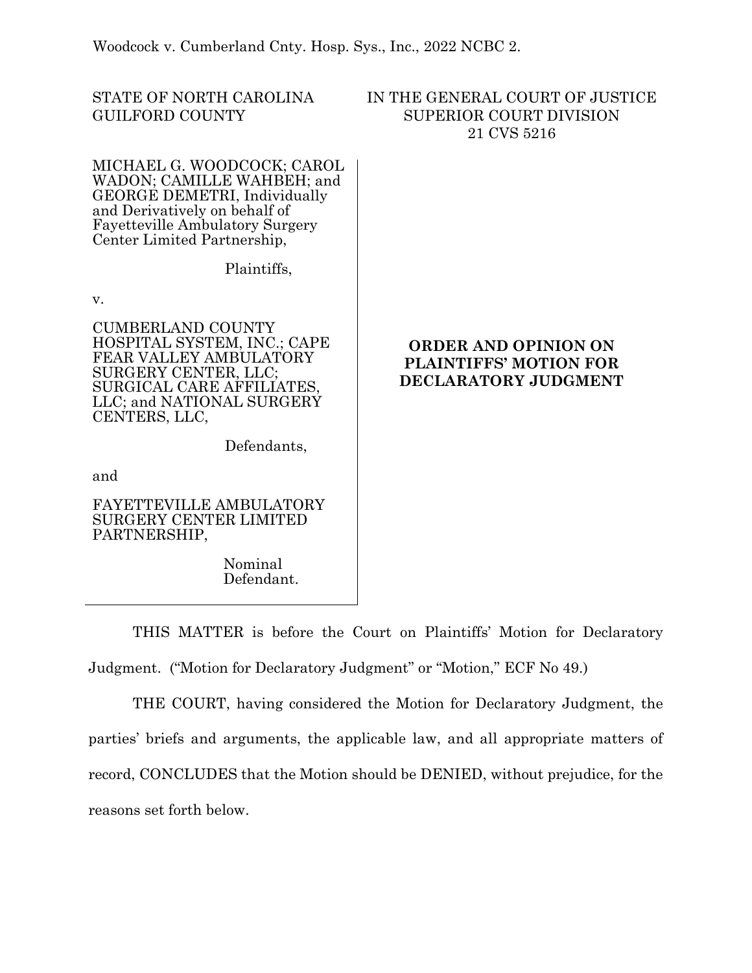Woodcock v. Cumberland Cnty. Hosp. Sys., Inc., 2022 NCBC 2.

STATE OF NORTH CAROLINA GUILFORD COUNTY

# IN THE GENERAL COURT OF JUSTICE SUPERIOR COURT DIVISION 21 CVS 5216

MICHAEL G. WOODCOCK; CAROL WADON; CAMILLE WAHBEH; and GEORGE DEMETRI, Individually and Derivatively on behalf of Fayetteville Ambulatory Surgery Center Limited Partnership,

Plaintiffs,

v.

CUMBERLAND COUNTY HOSPITAL SYSTEM, INC.; CAPE FEAR VALLEY AMBULATORY SURGERY CENTER, LLC; SURGICAL CARE AFFILIATES, LLC; and NATIONAL SURGERY CENTERS, LLC,

Defendants,

and

FAYETTEVILLE AMBULATORY SURGERY CENTER LIMITED PARTNERSHIP,

> Nominal Defendant.

# **ORDER AND OPINION ON PLAINTIFFS' MOTION FOR DECLARATORY JUDGMENT**

THIS MATTER is before the Court on Plaintiffs' Motion for Declaratory Judgment. ("Motion for Declaratory Judgment" or "Motion," ECF No 49.)

THE COURT, having considered the Motion for Declaratory Judgment, the parties' briefs and arguments, the applicable law, and all appropriate matters of record, CONCLUDES that the Motion should be DENIED, without prejudice, for the reasons set forth below.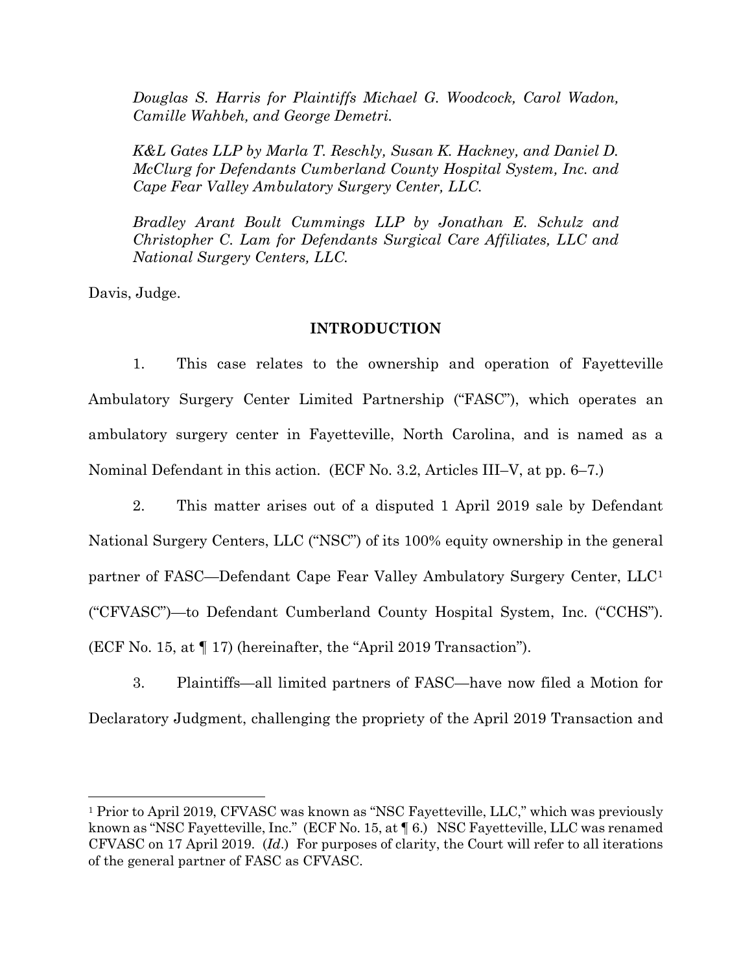*Douglas S. Harris for Plaintiffs Michael G. Woodcock, Carol Wadon, Camille Wahbeh, and George Demetri.* 

*K&L Gates LLP by Marla T. Reschly, Susan K. Hackney, and Daniel D. McClurg for Defendants Cumberland County Hospital System, Inc. and Cape Fear Valley Ambulatory Surgery Center, LLC.* 

*Bradley Arant Boult Cummings LLP by Jonathan E. Schulz and Christopher C. Lam for Defendants Surgical Care Affiliates, LLC and National Surgery Centers, LLC.* 

Davis, Judge.

#### **INTRODUCTION**

1. This case relates to the ownership and operation of Fayetteville Ambulatory Surgery Center Limited Partnership ("FASC"), which operates an ambulatory surgery center in Fayetteville, North Carolina, and is named as a Nominal Defendant in this action. (ECF No. 3.2, Articles III–V, at pp. 6–7.)

2. This matter arises out of a disputed 1 April 2019 sale by Defendant National Surgery Centers, LLC ("NSC") of its 100% equity ownership in the general partner of FASC—Defendant Cape Fear Valley Ambulatory Surgery Center, LLC[1](#page-1-0) ("CFVASC")—to Defendant Cumberland County Hospital System, Inc. ("CCHS"). (ECF No. 15, at ¶ 17) (hereinafter, the "April 2019 Transaction").

3. Plaintiffs—all limited partners of FASC—have now filed a Motion for Declaratory Judgment, challenging the propriety of the April 2019 Transaction and

<span id="page-1-0"></span><sup>1</sup> Prior to April 2019, CFVASC was known as "NSC Fayetteville, LLC," which was previously known as "NSC Fayetteville, Inc." (ECF No. 15, at  $\P$  6.) NSC Fayetteville, LLC was renamed CFVASC on 17 April 2019. (*Id*.) For purposes of clarity, the Court will refer to all iterations of the general partner of FASC as CFVASC.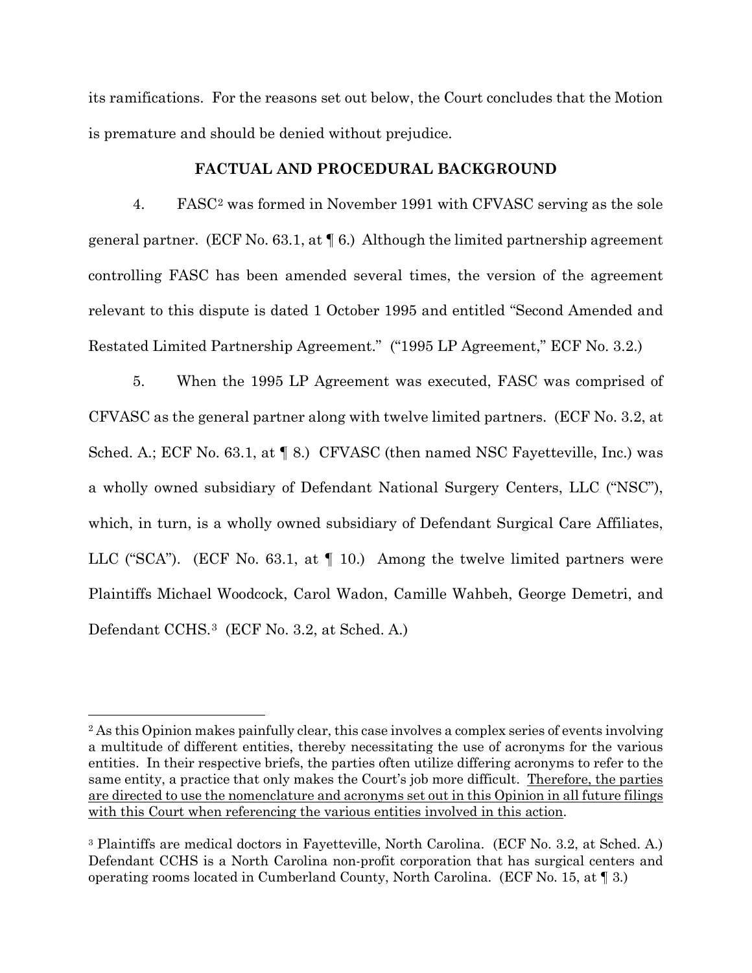its ramifications. For the reasons set out below, the Court concludes that the Motion is premature and should be denied without prejudice.

## **FACTUAL AND PROCEDURAL BACKGROUND**

4. FASC[2](#page-2-0) was formed in November 1991 with CFVASC serving as the sole general partner. (ECF No. 63.1, at  $\P$  6.) Although the limited partnership agreement controlling FASC has been amended several times, the version of the agreement relevant to this dispute is dated 1 October 1995 and entitled "Second Amended and Restated Limited Partnership Agreement." ("1995 LP Agreement," ECF No. 3.2.)

5. When the 1995 LP Agreement was executed, FASC was comprised of CFVASC as the general partner along with twelve limited partners. (ECF No. 3.2, at Sched. A.; ECF No. 63.1, at  $\P$  8.) CFVASC (then named NSC Fayetteville, Inc.) was a wholly owned subsidiary of Defendant National Surgery Centers, LLC ("NSC"), which, in turn, is a wholly owned subsidiary of Defendant Surgical Care Affiliates, LLC ("SCA"). (ECF No. 63.1, at ¶ 10.) Among the twelve limited partners were Plaintiffs Michael Woodcock, Carol Wadon, Camille Wahbeh, George Demetri, and Defendant CCHS.[3](#page-2-1) (ECF No. 3.2, at Sched. A.)

<span id="page-2-0"></span><sup>&</sup>lt;sup>2</sup> As this Opinion makes painfully clear, this case involves a complex series of events involving a multitude of different entities, thereby necessitating the use of acronyms for the various entities. In their respective briefs, the parties often utilize differing acronyms to refer to the same entity, a practice that only makes the Court's job more difficult. Therefore, the parties are directed to use the nomenclature and acronyms set out in this Opinion in all future filings with this Court when referencing the various entities involved in this action.

<span id="page-2-1"></span><sup>3</sup> Plaintiffs are medical doctors in Fayetteville, North Carolina. (ECF No. 3.2, at Sched. A.) Defendant CCHS is a North Carolina non-profit corporation that has surgical centers and operating rooms located in Cumberland County, North Carolina. (ECF No. 15, at ¶ 3.)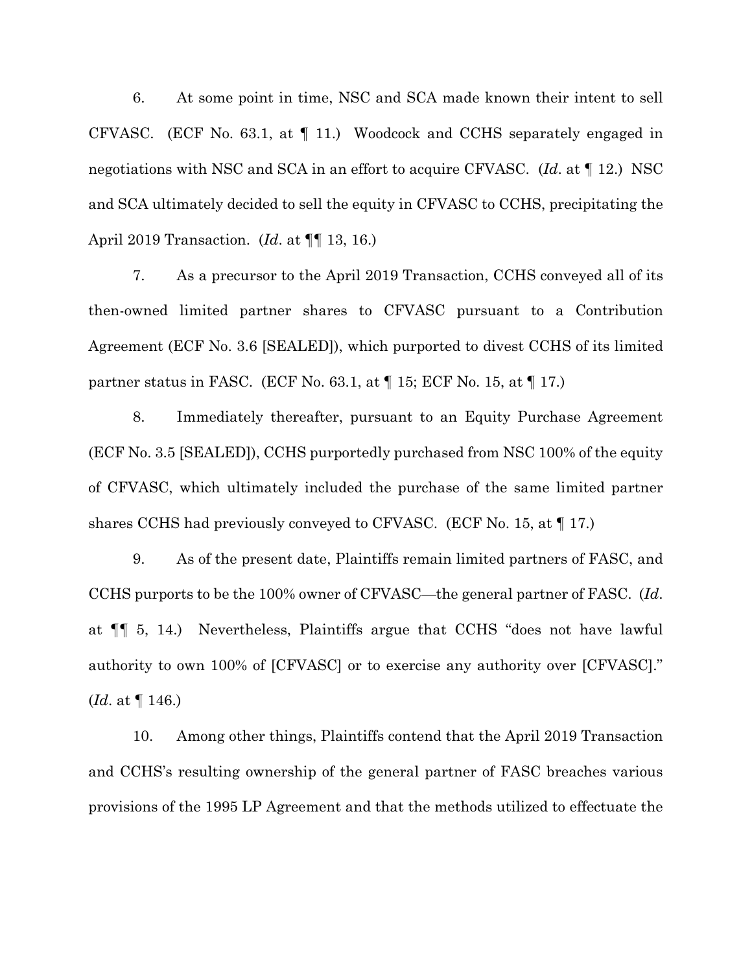6. At some point in time, NSC and SCA made known their intent to sell CFVASC. (ECF No. 63.1, at ¶ 11.) Woodcock and CCHS separately engaged in negotiations with NSC and SCA in an effort to acquire CFVASC. (*Id*. at ¶ 12.) NSC and SCA ultimately decided to sell the equity in CFVASC to CCHS, precipitating the April 2019 Transaction. (*Id*. at ¶¶ 13, 16.)

7. As a precursor to the April 2019 Transaction, CCHS conveyed all of its then-owned limited partner shares to CFVASC pursuant to a Contribution Agreement (ECF No. 3.6 [SEALED]), which purported to divest CCHS of its limited partner status in FASC. (ECF No. 63.1, at  $\P$  15; ECF No. 15, at  $\P$  17.)

8. Immediately thereafter, pursuant to an Equity Purchase Agreement (ECF No. 3.5 [SEALED]), CCHS purportedly purchased from NSC 100% of the equity of CFVASC, which ultimately included the purchase of the same limited partner shares CCHS had previously conveyed to CFVASC. (ECF No. 15, at ¶ 17.)

9. As of the present date, Plaintiffs remain limited partners of FASC, and CCHS purports to be the 100% owner of CFVASC—the general partner of FASC. (*Id*. at ¶¶ 5, 14.) Nevertheless, Plaintiffs argue that CCHS "does not have lawful authority to own 100% of [CFVASC] or to exercise any authority over [CFVASC]." (*Id*. at ¶ 146.)

10. Among other things, Plaintiffs contend that the April 2019 Transaction and CCHS's resulting ownership of the general partner of FASC breaches various provisions of the 1995 LP Agreement and that the methods utilized to effectuate the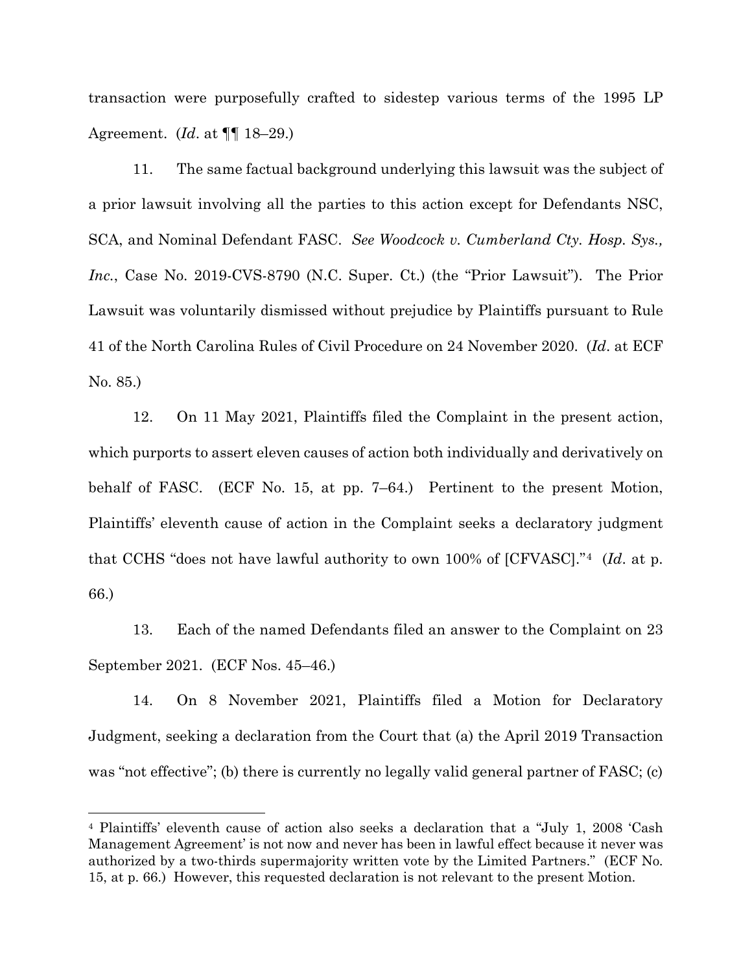transaction were purposefully crafted to sidestep various terms of the 1995 LP Agreement. (*Id*. at ¶¶ 18–29.)

11. The same factual background underlying this lawsuit was the subject of a prior lawsuit involving all the parties to this action except for Defendants NSC, SCA, and Nominal Defendant FASC. *See Woodcock v. Cumberland Cty. Hosp. Sys., Inc.*, Case No. 2019-CVS-8790 (N.C. Super. Ct.) (the "Prior Lawsuit"). The Prior Lawsuit was voluntarily dismissed without prejudice by Plaintiffs pursuant to Rule 41 of the North Carolina Rules of Civil Procedure on 24 November 2020. (*Id*. at ECF No. 85.)

12. On 11 May 2021, Plaintiffs filed the Complaint in the present action, which purports to assert eleven causes of action both individually and derivatively on behalf of FASC. (ECF No. 15, at pp. 7–64.) Pertinent to the present Motion, Plaintiffs' eleventh cause of action in the Complaint seeks a declaratory judgment that CCHS "does not have lawful authority to own 100% of [CFVASC]."[4](#page-4-0) (*Id*. at p. 66.)

13. Each of the named Defendants filed an answer to the Complaint on 23 September 2021. (ECF Nos. 45–46.)

14. On 8 November 2021, Plaintiffs filed a Motion for Declaratory Judgment, seeking a declaration from the Court that (a) the April 2019 Transaction was "not effective"; (b) there is currently no legally valid general partner of FASC; (c)

<span id="page-4-0"></span><sup>4</sup> Plaintiffs' eleventh cause of action also seeks a declaration that a "July 1, 2008 'Cash Management Agreement' is not now and never has been in lawful effect because it never was authorized by a two-thirds supermajority written vote by the Limited Partners." (ECF No. 15, at p. 66.) However, this requested declaration is not relevant to the present Motion.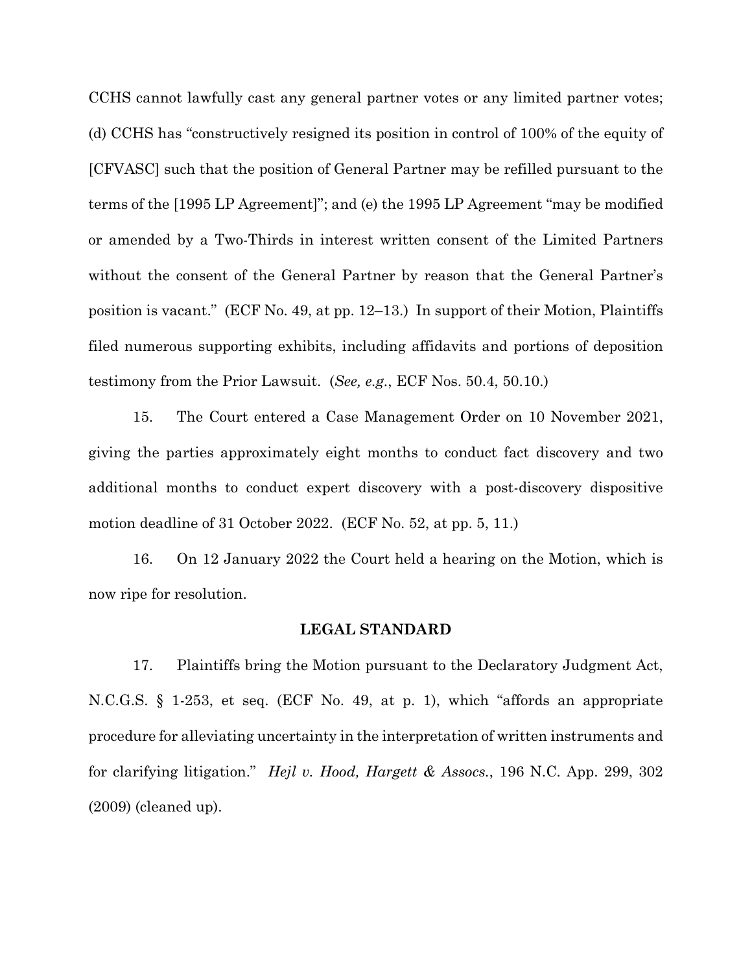CCHS cannot lawfully cast any general partner votes or any limited partner votes; (d) CCHS has "constructively resigned its position in control of 100% of the equity of [CFVASC] such that the position of General Partner may be refilled pursuant to the terms of the [1995 LP Agreement]"; and (e) the 1995 LP Agreement "may be modified or amended by a Two-Thirds in interest written consent of the Limited Partners without the consent of the General Partner by reason that the General Partner's position is vacant." (ECF No. 49, at pp. 12–13.) In support of their Motion, Plaintiffs filed numerous supporting exhibits, including affidavits and portions of deposition testimony from the Prior Lawsuit. (*See, e.g.*, ECF Nos. 50.4, 50.10.)

15. The Court entered a Case Management Order on 10 November 2021, giving the parties approximately eight months to conduct fact discovery and two additional months to conduct expert discovery with a post-discovery dispositive motion deadline of 31 October 2022. (ECF No. 52, at pp. 5, 11.)

16. On 12 January 2022 the Court held a hearing on the Motion, which is now ripe for resolution.

#### **LEGAL STANDARD**

17. Plaintiffs bring the Motion pursuant to the Declaratory Judgment Act, N.C.G.S. § 1-253, et seq. (ECF No. 49, at p. 1), which "affords an appropriate procedure for alleviating uncertainty in the interpretation of written instruments and for clarifying litigation." *Hejl v. Hood, Hargett & Assocs.*, 196 N.C. App. 299, 302 (2009) (cleaned up).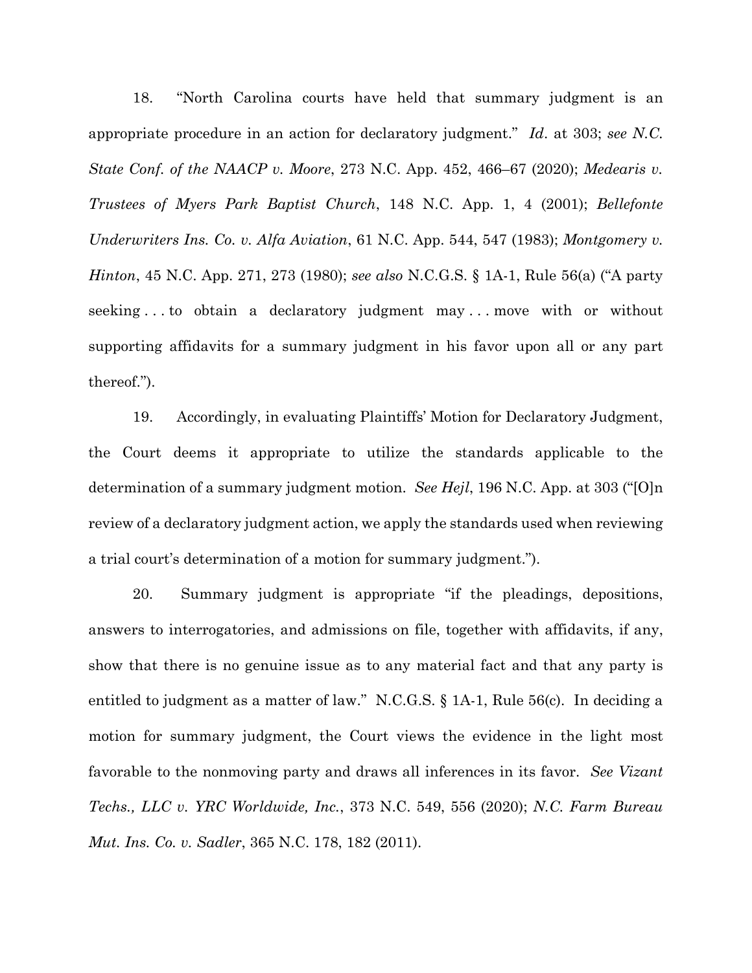18. "North Carolina courts have held that summary judgment is an appropriate procedure in an action for declaratory judgment." *Id*. at 303; *see N.C. State Conf. of the NAACP v. Moore*, 273 N.C. App. 452, 466–67 (2020); *Medearis v. Trustees of Myers Park Baptist Church*, 148 N.C. App. 1, 4 (2001); *Bellefonte Underwriters Ins. Co. v. Alfa Aviation*, 61 N.C. App. 544, 547 (1983); *Montgomery v. Hinton*, 45 N.C. App. 271, 273 (1980); *see also* N.C.G.S. § 1A-1, Rule 56(a) ("A party seeking . . . to obtain a declaratory judgment may . . . move with or without supporting affidavits for a summary judgment in his favor upon all or any part thereof.").

19. Accordingly, in evaluating Plaintiffs' Motion for Declaratory Judgment, the Court deems it appropriate to utilize the standards applicable to the determination of a summary judgment motion. *See Hejl*, 196 N.C. App. at 303 ("[O]n review of a declaratory judgment action, we apply the standards used when reviewing a trial court's determination of a motion for summary judgment.").

20. Summary judgment is appropriate "if the pleadings, depositions, answers to interrogatories, and admissions on file, together with affidavits, if any, show that there is no genuine issue as to any material fact and that any party is entitled to judgment as a matter of law." N.C.G.S. § 1A-1, Rule 56(c). In deciding a motion for summary judgment, the Court views the evidence in the light most favorable to the nonmoving party and draws all inferences in its favor. *See Vizant Techs., LLC v. YRC Worldwide, Inc.*, 373 N.C. 549, 556 (2020); *N.C. Farm Bureau Mut. Ins. Co. v. Sadler*, 365 N.C. 178, 182 (2011).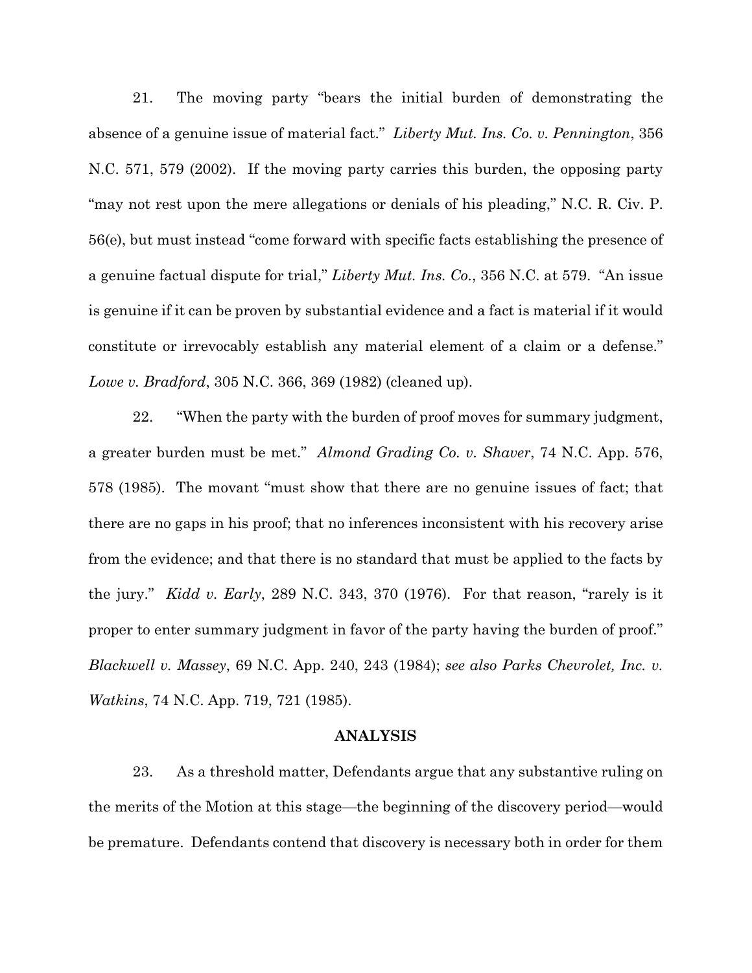21. The moving party "bears the initial burden of demonstrating the absence of a genuine issue of material fact." *Liberty Mut. Ins. Co. v. Pennington*, 356 N.C. 571, 579 (2002). If the moving party carries this burden, the opposing party "may not rest upon the mere allegations or denials of his pleading," N.C. R. Civ. P. 56(e), but must instead "come forward with specific facts establishing the presence of a genuine factual dispute for trial," *Liberty Mut. Ins. Co.*, 356 N.C. at 579. "An issue is genuine if it can be proven by substantial evidence and a fact is material if it would constitute or irrevocably establish any material element of a claim or a defense." *Lowe v. Bradford*, 305 N.C. 366, 369 (1982) (cleaned up).

22. "When the party with the burden of proof moves for summary judgment, a greater burden must be met." *Almond Grading Co. v. Shaver*, 74 N.C. App. 576, 578 (1985). The movant "must show that there are no genuine issues of fact; that there are no gaps in his proof; that no inferences inconsistent with his recovery arise from the evidence; and that there is no standard that must be applied to the facts by the jury." *Kidd v. Early*, 289 N.C. 343, 370 (1976). For that reason, "rarely is it proper to enter summary judgment in favor of the party having the burden of proof." *Blackwell v. Massey*, 69 N.C. App. 240, 243 (1984); *see also Parks Chevrolet, Inc. v. Watkins*, 74 N.C. App. 719, 721 (1985).

### **ANALYSIS**

23. As a threshold matter, Defendants argue that any substantive ruling on the merits of the Motion at this stage—the beginning of the discovery period—would be premature. Defendants contend that discovery is necessary both in order for them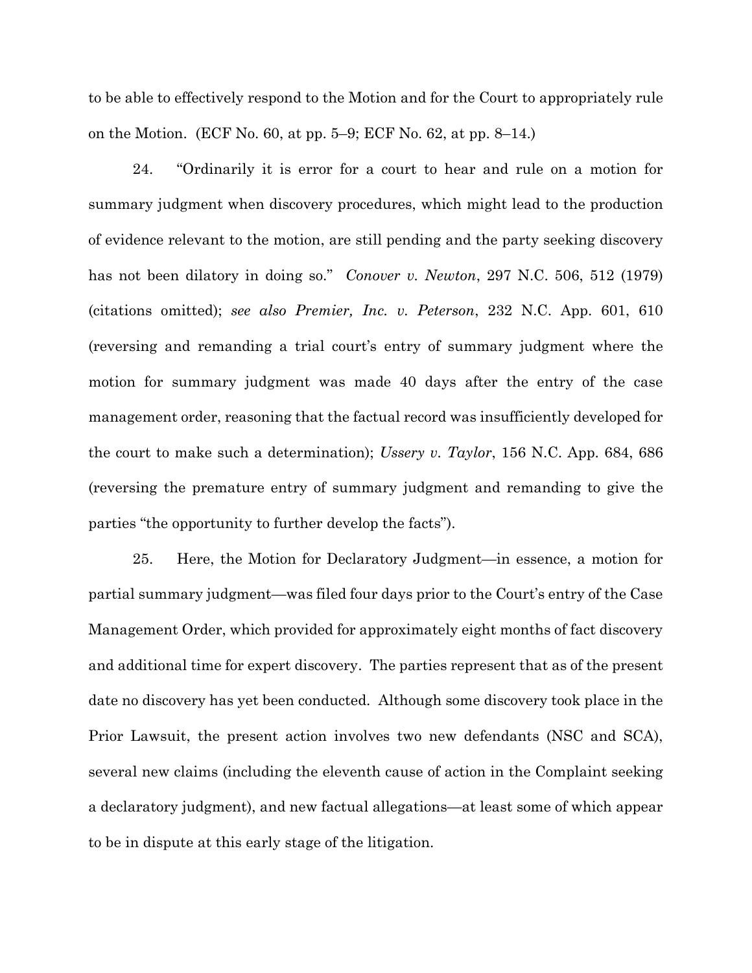to be able to effectively respond to the Motion and for the Court to appropriately rule on the Motion. (ECF No. 60, at pp. 5–9; ECF No. 62, at pp. 8–14.)

24. "Ordinarily it is error for a court to hear and rule on a motion for summary judgment when discovery procedures, which might lead to the production of evidence relevant to the motion, are still pending and the party seeking discovery has not been dilatory in doing so." *Conover v. Newton*, 297 N.C. 506, 512 (1979) (citations omitted); *see also Premier, Inc. v. Peterson*, 232 N.C. App. 601, 610 (reversing and remanding a trial court's entry of summary judgment where the motion for summary judgment was made 40 days after the entry of the case management order, reasoning that the factual record was insufficiently developed for the court to make such a determination); *Ussery v. Taylor*, 156 N.C. App. 684, 686 (reversing the premature entry of summary judgment and remanding to give the parties "the opportunity to further develop the facts").

25. Here, the Motion for Declaratory Judgment—in essence, a motion for partial summary judgment—was filed four days prior to the Court's entry of the Case Management Order, which provided for approximately eight months of fact discovery and additional time for expert discovery. The parties represent that as of the present date no discovery has yet been conducted. Although some discovery took place in the Prior Lawsuit, the present action involves two new defendants (NSC and SCA), several new claims (including the eleventh cause of action in the Complaint seeking a declaratory judgment), and new factual allegations—at least some of which appear to be in dispute at this early stage of the litigation.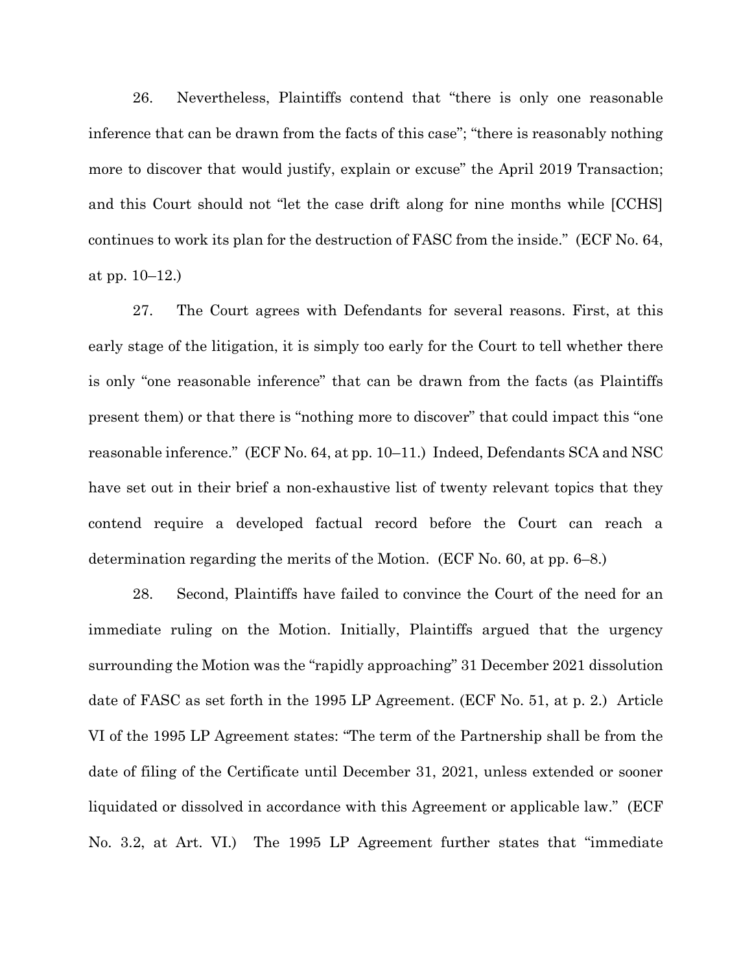26. Nevertheless, Plaintiffs contend that "there is only one reasonable inference that can be drawn from the facts of this case"; "there is reasonably nothing more to discover that would justify, explain or excuse" the April 2019 Transaction; and this Court should not "let the case drift along for nine months while [CCHS] continues to work its plan for the destruction of FASC from the inside." (ECF No. 64, at pp. 10–12.)

27. The Court agrees with Defendants for several reasons. First, at this early stage of the litigation, it is simply too early for the Court to tell whether there is only "one reasonable inference" that can be drawn from the facts (as Plaintiffs present them) or that there is "nothing more to discover" that could impact this "one reasonable inference." (ECF No. 64, at pp. 10–11.) Indeed, Defendants SCA and NSC have set out in their brief a non-exhaustive list of twenty relevant topics that they contend require a developed factual record before the Court can reach a determination regarding the merits of the Motion. (ECF No. 60, at pp. 6–8.)

28. Second, Plaintiffs have failed to convince the Court of the need for an immediate ruling on the Motion. Initially, Plaintiffs argued that the urgency surrounding the Motion was the "rapidly approaching" 31 December 2021 dissolution date of FASC as set forth in the 1995 LP Agreement. (ECF No. 51, at p. 2.) Article VI of the 1995 LP Agreement states: "The term of the Partnership shall be from the date of filing of the Certificate until December 31, 2021, unless extended or sooner liquidated or dissolved in accordance with this Agreement or applicable law." (ECF No. 3.2, at Art. VI.) The 1995 LP Agreement further states that "immediate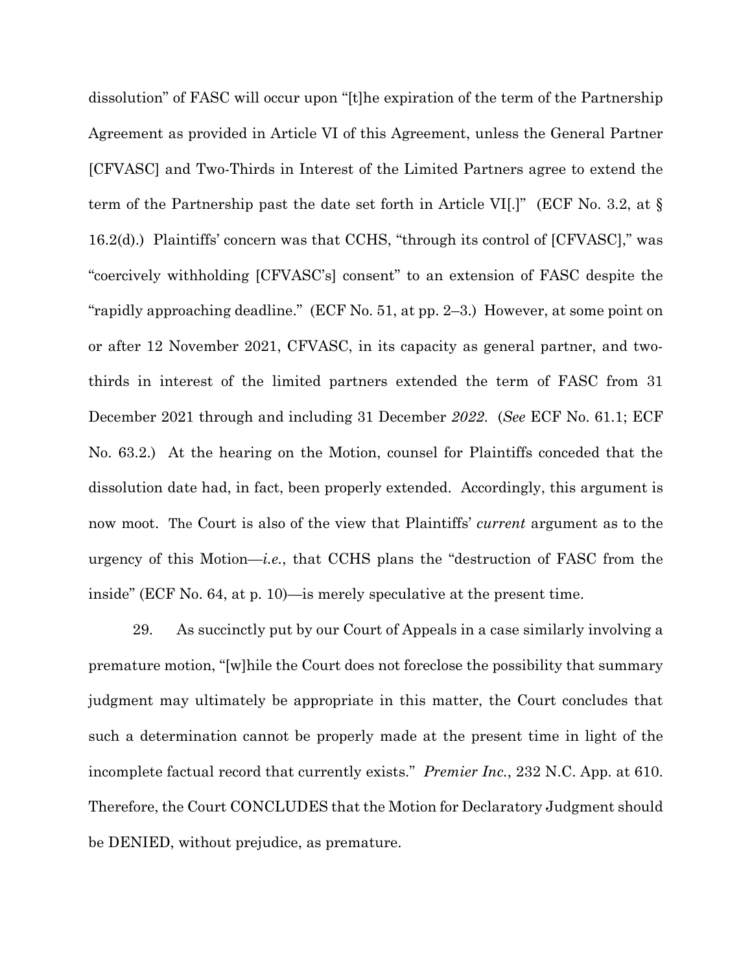dissolution" of FASC will occur upon "[t]he expiration of the term of the Partnership Agreement as provided in Article VI of this Agreement, unless the General Partner [CFVASC] and Two-Thirds in Interest of the Limited Partners agree to extend the term of the Partnership past the date set forth in Article VI[.]" (ECF No. 3.2, at § 16.2(d).) Plaintiffs' concern was that CCHS, "through its control of [CFVASC]," was "coercively withholding [CFVASC's] consent" to an extension of FASC despite the "rapidly approaching deadline." (ECF No. 51, at pp. 2–3.) However, at some point on or after 12 November 2021, CFVASC, in its capacity as general partner, and twothirds in interest of the limited partners extended the term of FASC from 31 December 2021 through and including 31 December *2022*. (*See* ECF No. 61.1; ECF No. 63.2.) At the hearing on the Motion, counsel for Plaintiffs conceded that the dissolution date had, in fact, been properly extended. Accordingly, this argument is now moot. The Court is also of the view that Plaintiffs' *current* argument as to the urgency of this Motion—*i.e.*, that CCHS plans the "destruction of FASC from the inside" (ECF No. 64, at p. 10)—is merely speculative at the present time.

29. As succinctly put by our Court of Appeals in a case similarly involving a premature motion, "[w]hile the Court does not foreclose the possibility that summary judgment may ultimately be appropriate in this matter, the Court concludes that such a determination cannot be properly made at the present time in light of the incomplete factual record that currently exists." *Premier Inc.*, 232 N.C. App. at 610. Therefore, the Court CONCLUDES that the Motion for Declaratory Judgment should be DENIED, without prejudice, as premature.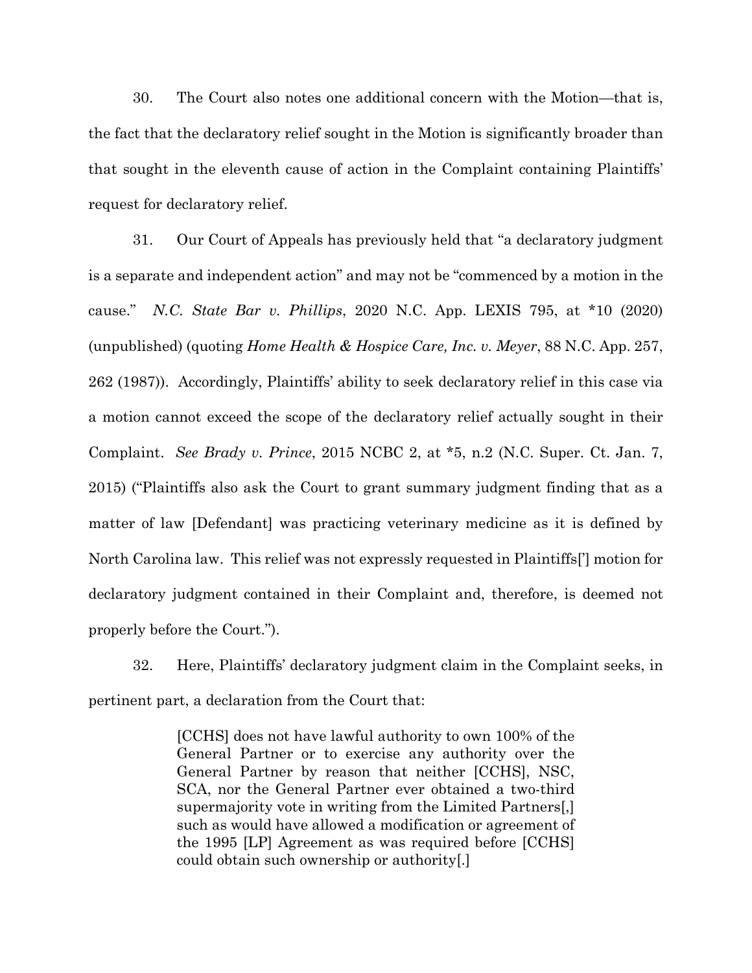30. The Court also notes one additional concern with the Motion—that is, the fact that the declaratory relief sought in the Motion is significantly broader than that sought in the eleventh cause of action in the Complaint containing Plaintiffs' request for declaratory relief.

31. Our Court of Appeals has previously held that "a declaratory judgment is a separate and independent action" and may not be "commenced by a motion in the cause." *N.C. State Bar v. Phillips*, 2020 N.C. App. LEXIS 795, at \*10 (2020) (unpublished) (quoting *Home Health & Hospice Care, Inc. v. Meyer*, 88 N.C. App. 257, 262 (1987)). Accordingly, Plaintiffs' ability to seek declaratory relief in this case via a motion cannot exceed the scope of the declaratory relief actually sought in their Complaint. *See Brady v. Prince*, 2015 NCBC 2, at \*5, n.2 (N.C. Super. Ct. Jan. 7, 2015) ("Plaintiffs also ask the Court to grant summary judgment finding that as a matter of law [Defendant] was practicing veterinary medicine as it is defined by North Carolina law. This relief was not expressly requested in Plaintiffs['] motion for declaratory judgment contained in their Complaint and, therefore, is deemed not properly before the Court.").

32. Here, Plaintiffs' declaratory judgment claim in the Complaint seeks, in pertinent part, a declaration from the Court that:

> [CCHS] does not have lawful authority to own 100% of the General Partner or to exercise any authority over the General Partner by reason that neither [CCHS], NSC, SCA, nor the General Partner ever obtained a two-third supermajority vote in writing from the Limited Partners[,] such as would have allowed a modification or agreement of the 1995 [LP] Agreement as was required before [CCHS] could obtain such ownership or authority[.]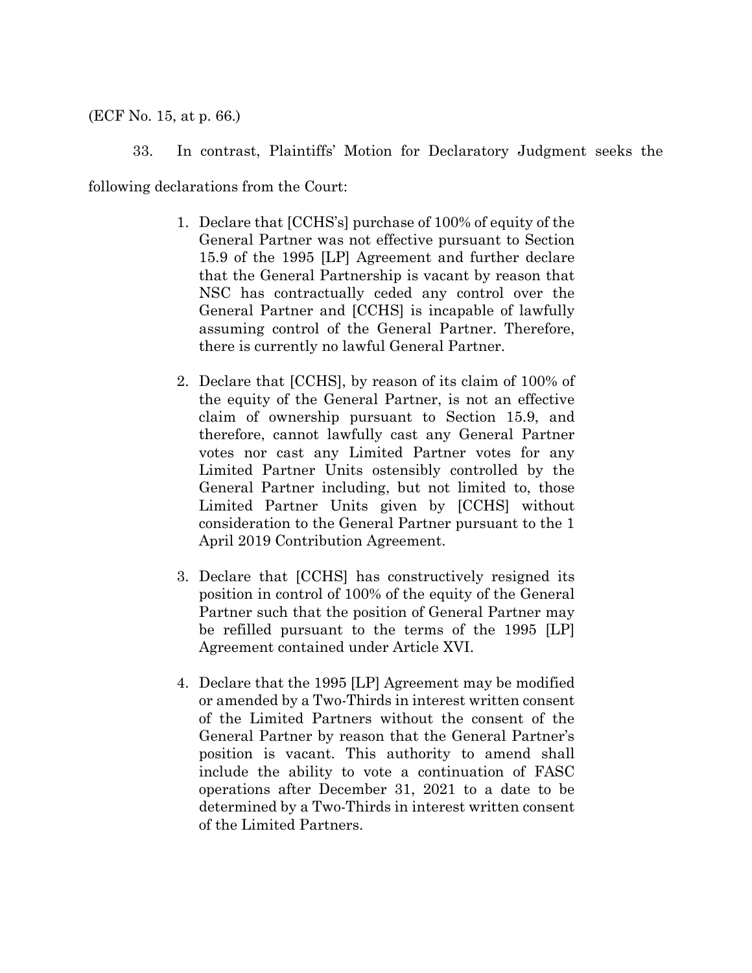## (ECF No. 15, at p. 66.)

33. In contrast, Plaintiffs' Motion for Declaratory Judgment seeks the

following declarations from the Court:

- 1. Declare that [CCHS's] purchase of 100% of equity of the General Partner was not effective pursuant to Section 15.9 of the 1995 [LP] Agreement and further declare that the General Partnership is vacant by reason that NSC has contractually ceded any control over the General Partner and [CCHS] is incapable of lawfully assuming control of the General Partner. Therefore, there is currently no lawful General Partner.
- 2. Declare that [CCHS], by reason of its claim of 100% of the equity of the General Partner, is not an effective claim of ownership pursuant to Section 15.9, and therefore, cannot lawfully cast any General Partner votes nor cast any Limited Partner votes for any Limited Partner Units ostensibly controlled by the General Partner including, but not limited to, those Limited Partner Units given by [CCHS] without consideration to the General Partner pursuant to the 1 April 2019 Contribution Agreement.
- 3. Declare that [CCHS] has constructively resigned its position in control of 100% of the equity of the General Partner such that the position of General Partner may be refilled pursuant to the terms of the 1995 [LP] Agreement contained under Article XVI.
- 4. Declare that the 1995 [LP] Agreement may be modified or amended by a Two-Thirds in interest written consent of the Limited Partners without the consent of the General Partner by reason that the General Partner's position is vacant. This authority to amend shall include the ability to vote a continuation of FASC operations after December 31, 2021 to a date to be determined by a Two-Thirds in interest written consent of the Limited Partners.